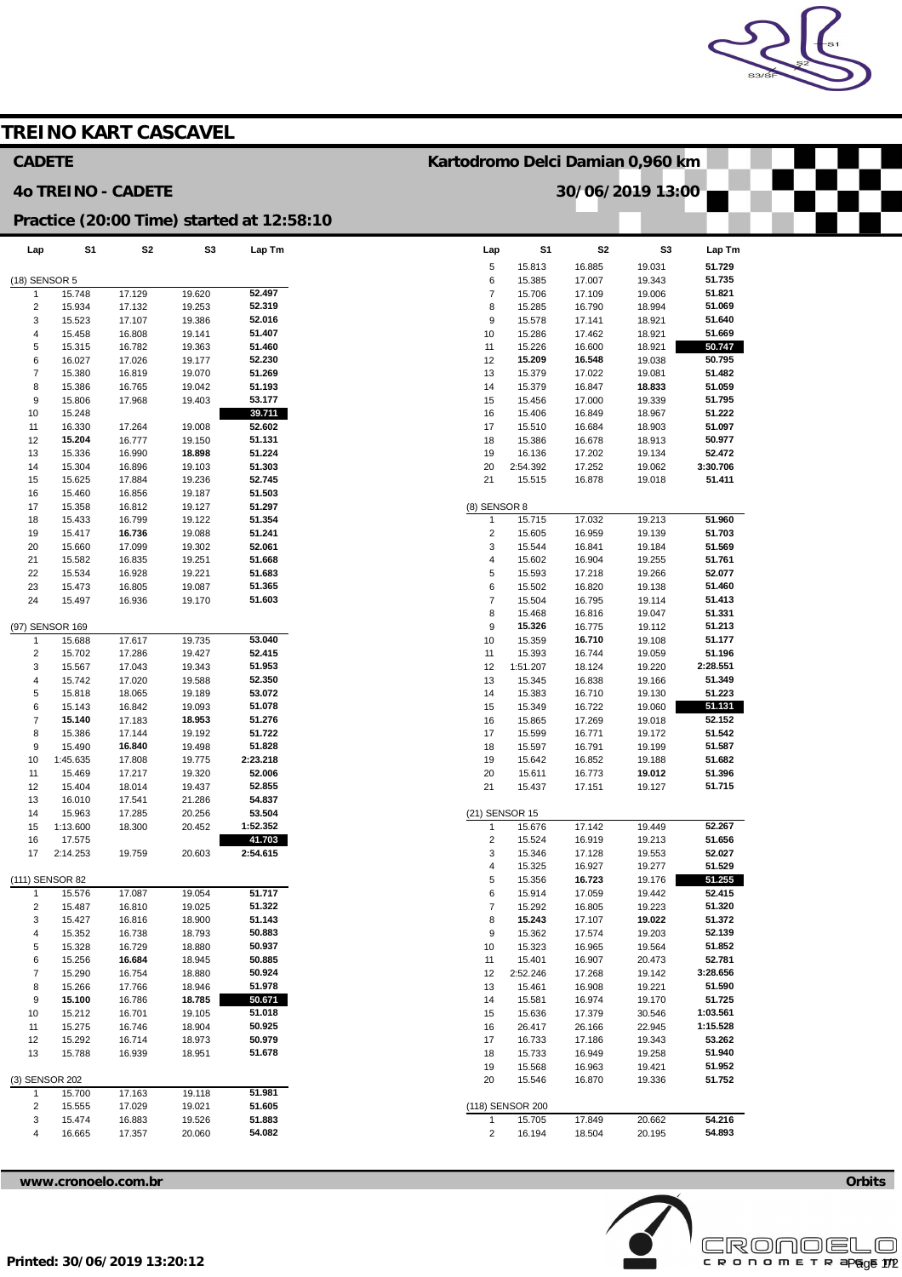

|                                |                    |                  |                             |                                           |                                    |                            |                  |                  | S3/5               |  |  |
|--------------------------------|--------------------|------------------|-----------------------------|-------------------------------------------|------------------------------------|----------------------------|------------------|------------------|--------------------|--|--|
|                                |                    |                  | <b>TREINO KART CASCAVEL</b> |                                           |                                    |                            |                  |                  |                    |  |  |
| <b>CADETE</b>                  |                    |                  |                             |                                           | Kartodromo Delci Damian 0,960 km   |                            |                  |                  |                    |  |  |
| <b>40 TREINO - CADETE</b>      |                    |                  |                             |                                           |                                    |                            | 30/06/2019 13:00 |                  |                    |  |  |
|                                |                    |                  |                             | Practice (20:00 Time) started at 12:58:10 |                                    |                            |                  |                  |                    |  |  |
| Lap                            | S1                 | S <sub>2</sub>   | S <sub>3</sub>              | Lap Tm                                    | Lap                                | S <sub>1</sub>             | S <sub>2</sub>   | S <sub>3</sub>   | Lap Tm             |  |  |
| (18) SENSOR 5                  |                    |                  |                             |                                           | $\,$ 5 $\,$<br>6                   | 15.813<br>15.385           | 16.885<br>17.007 | 19.031<br>19.343 | 51.729<br>51.735   |  |  |
| $\overline{1}$                 | 15.748             | 17.129           | 19.620                      | 52.497                                    | $\overline{7}$                     | 15.706                     | 17.109           | 19.006           | 51.821             |  |  |
| $\overline{2}$<br>3            | 15.934<br>15.523   | 17.132<br>17.107 | 19.253<br>19.386            | 52.319<br>52.016                          | 8<br>9                             | 15.285<br>15.578           | 16.790<br>17.141 | 18.994<br>18.921 | 51.069<br>51.640   |  |  |
| $\overline{4}$                 | 15.458             | 16.808           | 19.141                      | 51.407                                    | 10                                 | 15.286                     | 17.462           | 18.921           | 51.669             |  |  |
| 5                              | 15.315             | 16.782           | 19.363                      | 51.460                                    | 11                                 | 15.226                     | 16.600           | 18.921           | 50.747             |  |  |
| 6                              | 16.027             | 17.026           | 19.177                      | 52.230                                    | 12                                 | 15.209                     | 16.548           | 19.038           | 50.795             |  |  |
| $\overline{7}$<br>8            | 15.380<br>15.386   | 16.819<br>16.765 | 19.070<br>19.042            | 51.269<br>51.193                          | 13<br>14                           | 15.379<br>15.379           | 17.022<br>16.847 | 19.081<br>18.833 | 51.482<br>51.059   |  |  |
| 9                              | 15.806             | 17.968           | 19.403                      | 53.177                                    | 15                                 | 15.456                     | 17.000           | 19.339           | 51.795             |  |  |
| 10                             | 15.248             |                  |                             | 39.711                                    | 16                                 | 15.406                     | 16.849           | 18.967           | 51.222             |  |  |
| 11                             | 16.330             | 17.264           | 19.008                      | 52.602                                    | 17                                 | 15.510                     | 16.684           | 18.903           | 51.097             |  |  |
| 12<br>13                       | 15.204<br>15.336   | 16.777<br>16.990 | 19.150<br>18.898            | 51.131<br>51.224                          | 18<br>19                           | 15.386<br>16.136           | 16.678<br>17.202 | 18.913<br>19.134 | 50.977<br>52.472   |  |  |
| 14                             | 15.304             | 16.896           | 19.103                      | 51.303                                    | 20                                 | 2:54.392                   | 17.252           | 19.062           | 3:30.706           |  |  |
| 15                             | 15.625             | 17.884           | 19.236                      | 52.745                                    | 21                                 | 15.515                     | 16.878           | 19.018           | 51.411             |  |  |
| 16                             | 15.460             | 16.856           | 19.187                      | 51.503                                    |                                    |                            |                  |                  |                    |  |  |
| 17<br>18                       | 15.358<br>15.433   | 16.812<br>16.799 | 19.127<br>19.122            | 51.297<br>51.354                          | $(8)$ SENSOR $8$<br>$\overline{1}$ | 15.715                     | 17.032           | 19.213           | 51.960             |  |  |
| 19                             | 15.417             | 16.736           | 19.088                      | 51.241                                    | $\overline{2}$                     | 15.605                     | 16.959           | 19.139           | 51.703             |  |  |
| 20                             | 15.660             | 17.099           | 19.302                      | 52.061                                    | 3                                  | 15.544                     | 16.841           | 19.184           | 51.569             |  |  |
| 21                             | 15.582             | 16.835           | 19.251                      | 51.668                                    | $\overline{4}$                     | 15.602                     | 16.904           | 19.255           | 51.761             |  |  |
| 22<br>23                       | 15.534<br>15.473   | 16.928<br>16.805 | 19.221<br>19.087            | 51.683<br>51.365                          | 5<br>6                             | 15.593<br>15.502           | 17.218<br>16.820 | 19.266<br>19.138 | 52.077<br>51.460   |  |  |
| 24                             | 15.497             | 16.936           | 19.170                      | 51.603                                    | $\overline{7}$                     | 15.504                     | 16.795           | 19.114           | 51.413             |  |  |
|                                |                    |                  |                             |                                           | 8                                  | 15.468                     | 16.816           | 19.047           | 51.331             |  |  |
| (97) SENSOR 169                |                    |                  |                             |                                           | 9                                  | 15.326                     | 16.775           | 19.112           | 51.213             |  |  |
| $\mathbf{1}$<br>$\overline{2}$ | 15.688<br>15.702   | 17.617<br>17.286 | 19.735<br>19.427            | 53.040<br>52.415                          | 10<br>11                           | 15.359<br>15.393           | 16.710<br>16.744 | 19.108<br>19.059 | 51.177<br>51.196   |  |  |
| 3                              | 15.567             | 17.043           | 19.343                      | 51.953                                    | 12                                 | 1:51.207                   | 18.124           | 19.220           | 2:28.551           |  |  |
| $\overline{4}$                 | 15.742             | 17.020           | 19.588                      | 52.350                                    | 13                                 | 15.345                     | 16.838           | 19.166           | 51.349             |  |  |
| 5                              | 15.818             | 18.065           | 19.189                      | 53.072                                    | 14                                 | 15.383                     | 16.710           | 19.130           | 51.223             |  |  |
| 6<br>7                         | 15.143<br>15.140   | 16.842<br>17.183 | 19.093<br>18.953            | 51.078<br>51.276                          | 15<br>16                           | 15.349<br>15.865           | 16.722<br>17.269 | 19.060<br>19.018 | 51.131<br>52.152   |  |  |
| 8                              | 15.386             | 17.144           | 19.192                      | 51.722                                    | 17                                 | 15.599                     | 16.771           | 19.172           | 51.542             |  |  |
| 9                              | 15.490             | 16.840           | 19.498                      | 51.828                                    | 18                                 | 15.597                     | 16.791           | 19.199           | 51.587             |  |  |
| 10                             | 1:45.635           | 17.808           | 19.775                      | 2:23.218                                  | 19                                 | 15.642                     | 16.852           | 19.188           | 51.682             |  |  |
| 11<br>12                       | 15.469<br>15.404   | 17.217<br>18.014 | 19.320<br>19.437            | 52.006<br>52.855                          | 20<br>21                           | 15.611<br>15.437           | 16.773<br>17.151 | 19.012<br>19.127 | 51.396<br>51.715   |  |  |
| 13                             | 16.010             | 17.541           | 21.286                      | 54.837                                    |                                    |                            |                  |                  |                    |  |  |
| 14                             | 15.963             | 17.285           | 20.256                      | 53.504                                    | (21) SENSOR 15                     |                            |                  |                  |                    |  |  |
| 15                             | 1:13.600<br>17.575 | 18.300           | 20.452                      | 1:52.352<br>41.703                        | $\overline{1}$<br>$\sqrt{2}$       | 15.676                     | 17.142<br>16.919 | 19.449<br>19.213 | 52.267<br>51.656   |  |  |
| 16<br>17                       | 2:14.253           | 19.759           | 20.603                      | 2:54.615                                  | 3                                  | 15.524<br>15.346           | 17.128           | 19.553           | 52.027             |  |  |
|                                |                    |                  |                             |                                           | $\overline{4}$                     | 15.325                     | 16.927           | 19.277           | 51.529             |  |  |
| (111) SENSOR 82                |                    |                  |                             |                                           | 5                                  | 15.356                     | 16.723           | 19.176           | 51.255             |  |  |
| $\mathbf{1}$<br>$\overline{2}$ | 15.576<br>15.487   | 17.087<br>16.810 | 19.054<br>19.025            | 51.717<br>51.322                          | 6<br>$\overline{7}$                | 15.914<br>15.292           | 17.059<br>16.805 | 19.442<br>19.223 | 52.415<br>51.320   |  |  |
| 3                              | 15.427             | 16.816           | 18.900                      | 51.143                                    | 8                                  | 15.243                     | 17.107           | 19.022           | 51.372             |  |  |
| 4                              | 15.352             | 16.738           | 18.793                      | 50.883                                    | $\boldsymbol{9}$                   | 15.362                     | 17.574           | 19.203           | 52.139             |  |  |
| 5                              | 15.328             | 16.729           | 18.880                      | 50.937                                    | 10                                 | 15.323                     | 16.965           | 19.564           | 51.852             |  |  |
| 6                              | 15.256             | 16.684           | 18.945                      | 50.885<br>50.924                          | 11                                 | 15.401                     | 16.907           | 20.473           | 52.781             |  |  |
| $\overline{7}$<br>8            | 15.290<br>15.266   | 16.754<br>17.766 | 18.880<br>18.946            | 51.978                                    | 12<br>13                           | 2:52.246<br>15.461         | 17.268<br>16.908 | 19.142<br>19.221 | 3:28.656<br>51.590 |  |  |
| 9                              | 15.100             | 16.786           | 18.785                      | 50.671                                    | 14                                 | 15.581                     | 16.974           | 19.170           | 51.725             |  |  |
| 10                             | 15.212             | 16.701           | 19.105                      | 51.018                                    | 15                                 | 15.636                     | 17.379           | 30.546           | 1:03.561           |  |  |
| 11                             | 15.275             | 16.746           | 18.904                      | 50.925                                    | 16                                 | 26.417                     | 26.166           | 22.945           | 1:15.528           |  |  |
| 12<br>13                       | 15.292<br>15.788   | 16.714<br>16.939 | 18.973<br>18.951            | 50.979<br>51.678                          | 17<br>18                           | 16.733<br>15.733           | 17.186<br>16.949 | 19.343<br>19.258 | 53.262<br>51.940   |  |  |
|                                |                    |                  |                             |                                           | 19                                 | 15.568                     | 16.963           | 19.421           | 51.952             |  |  |
| (3) SENSOR 202                 |                    |                  |                             |                                           | 20                                 | 15.546                     | 16.870           | 19.336           | 51.752             |  |  |
| $\overline{1}$                 | 15.700             | 17.163           | 19.118                      | 51.981                                    |                                    |                            |                  |                  |                    |  |  |
| $\overline{c}$<br>3            | 15.555<br>15.474   | 17.029<br>16.883 | 19.021<br>19.526            | 51.605<br>51.883                          | $\mathbf{1}$                       | (118) SENSOR 200<br>15.705 | 17.849           | 20.662           | 54.216             |  |  |
| 4                              | 16.665             | 17.357           | 20.060                      | 54.082                                    | $\overline{2}$                     | 16.194                     | 18.504           | 20.195           | 54.893             |  |  |
|                                |                    |                  |                             |                                           |                                    |                            |                  |                  |                    |  |  |

**[www.cronoelo.com.br](http://www.cronoelo.com.br) Orbits**